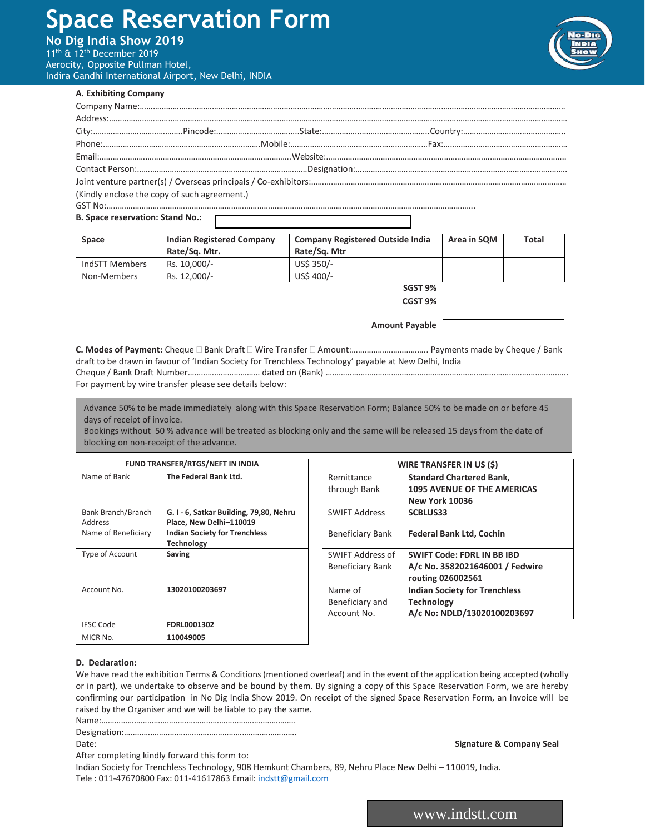## **Space Reservation Form**

**No Dig India Show 2019**

11<sup>th</sup> & 12<sup>th</sup> December 2019 Aerocity, Opposite Pullman Hotel, Indira Gandhi International Airport, New Delhi, INDIA



#### **A. Exhibiting Company**

| (Kindly enclose the copy of such agreement.) |                                                                                                                                                                                                                               |  |
|----------------------------------------------|-------------------------------------------------------------------------------------------------------------------------------------------------------------------------------------------------------------------------------|--|
|                                              |                                                                                                                                                                                                                               |  |
|                                              | B. Space reservation: Stand No.: The Contract of the Contract of the Contract of the Contract of the Contract of the Contract of the Contract of the Contract of the Contract of the Contract of the Contract of the Contract |  |

| Space          | <b>Indian Registered Company</b><br>Rate/Sq. Mtr. | <b>Company Registered Outside India</b><br>Rate/Sq. Mtr | Area in SQM | <b>Total</b> |
|----------------|---------------------------------------------------|---------------------------------------------------------|-------------|--------------|
| IndSTT Members | Rs. 10.000/-                                      | US\$ 350/-                                              |             |              |
| Non-Members    | Rs. 12.000/-                                      | US\$ 400/-                                              |             |              |
|                |                                                   | SGST 9%                                                 |             |              |

**CGST 9%**

**Amount Payable**

**C. Modes of Payment:** Cheque Bank Draft Wire Transfer Amount:…………………………….. Payments made by Cheque / Bank draft to be drawn in favour of 'Indian Society for Trenchless Technology' payable at New Delhi, India Cheque / Bank Draft Number…………………………… dated on (Bank) …………………………………………………………………………………………….….. For payment by wire transfer please see details below:

Advance 50% to be made immediately along with this Space Reservation Form; Balance 50% to be made on or before 45 days of receipt of invoice.

Bookings without 50 % advance will be treated as blocking only and the same will be released 15 days from the date of blocking on non-receipt of the advance.

| FUND TRANSFER/RTGS/NEFT IN INDIA |                                                                    | WIRE TRANSFER IN US (\$)                  |                                                                                                |  |
|----------------------------------|--------------------------------------------------------------------|-------------------------------------------|------------------------------------------------------------------------------------------------|--|
| Name of Bank                     | The Federal Bank Ltd.                                              | Remittance<br>through Bank                | <b>Standard Chartered Bank,</b><br><b>1095 AVENUE OF THE AMERICAS</b><br><b>New York 10036</b> |  |
| Bank Branch/Branch<br>Address    | G. I - 6, Satkar Building, 79,80, Nehru<br>Place, New Delhi-110019 | <b>SWIFT Address</b>                      | <b>SCBLUS33</b>                                                                                |  |
| Name of Beneficiary              | <b>Indian Society for Trenchless</b><br><b>Technology</b>          | <b>Beneficiary Bank</b>                   | <b>Federal Bank Ltd, Cochin</b>                                                                |  |
| Type of Account                  | <b>Saving</b>                                                      | SWIFT Address of<br>Beneficiary Bank      | <b>SWIFT Code: FDRL IN BB IBD</b><br>A/c No. 3582021646001 / Fedwire<br>routing 026002561      |  |
| Account No.                      | 13020100203697                                                     | Name of<br>Beneficiary and<br>Account No. | <b>Indian Society for Trenchless</b><br><b>Technology</b><br>A/c No: NDLD/13020100203697       |  |
| <b>IFSC Code</b>                 | FDRL0001302                                                        |                                           |                                                                                                |  |
| MICR No.                         | 110049005                                                          |                                           |                                                                                                |  |

#### **D. Declaration:**

We have read the exhibition Terms & Conditions (mentioned overleaf) and in the event of the application being accepted (wholly or in part), we undertake to observe and be bound by them. By signing a copy of this Space Reservation Form, we are hereby confirming our participation in No Dig India Show 2019. On receipt of the signed Space Reservation Form, an Invoice will be raised by the Organiser and we will be liable to pay the same.

Name:……………………………………………………………………………..

Designation:…………………………………………………………………….

Date: **Signature & Company Seal**

After completing kindly forward this form to:

Indian Society for Trenchless Technology, 908 Hemkunt Chambers, 89, Nehru Place New Delhi – 110019, India. Tele : 011-47670800 Fax: 011-41617863 Email[: indstt@gmail.com](mailto:indstt@gmail.com)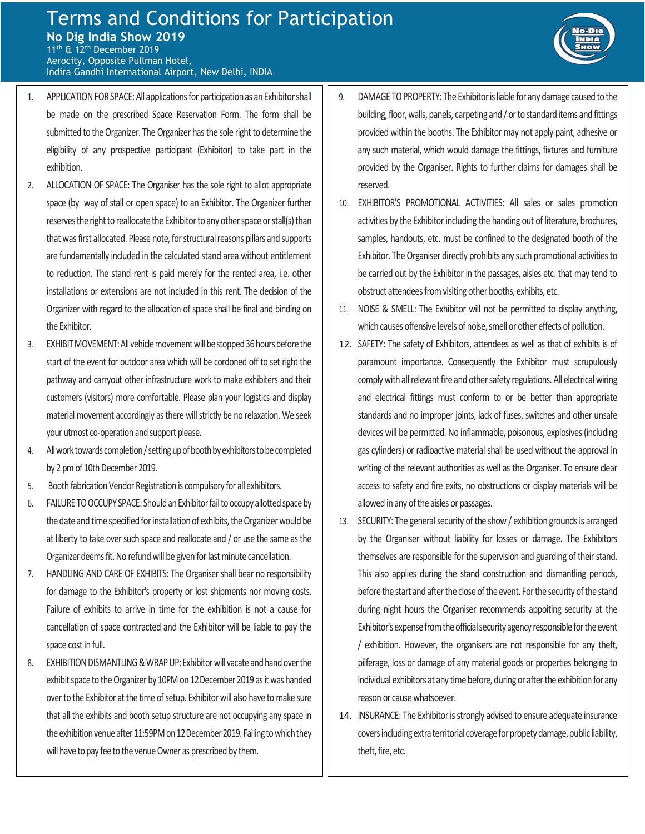# Terms and Conditions for Participation

**No Dig India Show 2019**

11<sup>th</sup> & 12<sup>th</sup> December 2019 Aerocity, Opposite Pullman Hotel, Indira Gandhi International Airport, New Delhi, INDIA

- 1. APPLICATION FOR SPACE: All applications for participation as an Exhibitor shall be made on the prescribed Space Reservation Form. The form shall be submitted to the Organizer. The Organizer has the sole right to determine the eligibility of any prospective participant (Exhibitor) to take part in the exhibition.
- 2. ALLOCATION OF SPACE: The Organiser has the sole right to allot appropriate space (by way of stall or open space) to an Exhibitor. The Organizer further reserves the right to reallocate the Exhibitor to any other space or stall(s) than that was first allocated. Please note, for structural reasons pillars and supports are fundamentally included in the calculated stand area without entitlement to reduction. The stand rent is paid merely for the rented area, i.e. other installations or extensions are not included in this rent. The decision of the Organizer with regard to the allocation of space shall be final and binding on the Exhibitor.
- 3. EXHIBITMOVEMENT:All vehicle movement will be stopped 36 hours before the start of the event for outdoor area which will be cordoned off to set right the pathway and carryout other infrastructure work to make exhibiters and their customers (visitors) more comfortable. Please plan your logistics and display material movement accordingly as there will strictly be no relaxation. We seek your utmost co-operation and support please.
- 4. All worktowards completion / setting up of booth by exhibitors to be completed by 2 pm of 10th December 2019.
- 5. Booth fabrication Vendor Registration is compulsory for all exhibitors.
- 6. FAILURETO OCCUPY SPACE: Should an Exhibitor fail to occupy allotted space by the date and time specified for installation of exhibits, the Organizer would be at liberty to take over such space and reallocate and / or use the same as the Organizer deems fit. No refund will be given for last minute cancellation.
- 7. HANDLING AND CARE OF EXHIBITS: The Organiser shall bear no responsibility for damage to the Exhibitor's property or lost shipments nor moving costs. Failure of exhibits to arrive in time for the exhibition is not a cause for cancellation of space contracted and the Exhibitor will be liable to pay the space cost in full.
- 8. EXHIBITION DISMANTLING & WRAP UP: Exhibitor will vacate and hand over the exhibit space to the Organizer by 10PM on 12December 2019 as it was handed over to the Exhibitor at the time of setup. Exhibitor will also have to make sure that all the exhibits and booth setup structure are not occupying any space in the exhibition venue after 11:59PM on 12December 2019. Failing to which they will have to pay fee to the venue Owner as prescribed by them.
- 9. DAMAGE TO PROPERTY: The Exhibitor is liable for any damage caused to the building, floor, walls, panels, carpeting and / or to standard items and fittings provided within the booths. The Exhibitor may not apply paint, adhesive or any such material, which would damage the fittings, fixtures and furniture provided by the Organiser. Rights to further claims for damages shall be reserved.
- 10. EXHIBITOR'S PROMOTIONAL ACTIVITIES: All sales or sales promotion activities by the Exhibitor including the handing out of literature, brochures, samples, handouts, etc. must be confined to the designated booth of the Exhibitor. The Organiser directly prohibits any such promotional activities to be carried out by the Exhibitor in the passages, aisles etc. that may tend to obstruct attendees from visiting other booths, exhibits, etc.
- 11. NOISE & SMELL: The Exhibitor will not be permitted to display anything, which causes offensive levels of noise, smell or other effects of pollution.
- 12. SAFETY: The safety of Exhibitors, attendees as well as that of exhibits is of paramount importance. Consequently the Exhibitor must scrupulously comply with all relevant fire and other safety regulations. All electrical wiring and electrical fittings must conform to or be better than appropriate standards and no improper joints, lack of fuses, switches and other unsafe devices will be permitted. No inflammable, poisonous, explosives (including gas cylinders) or radioactive material shall be used without the approval in writing of the relevant authorities as well as the Organiser. To ensure clear access to safety and fire exits, no obstructions or display materials will be allowed in any of the aisles or passages.
- 13. SECURITY: The general security of the show / exhibition grounds is arranged by the Organiser without liability for losses or damage. The Exhibitors themselves are responsible for the supervision and guarding of their stand. This also applies during the stand construction and dismantling periods, before the start and after the close of the event. For the security of the stand during night hours the Organiser recommends appoiting security at the Exhibitor's expense from the official security agency responsible for the event / exhibition. However, the organisers are not responsible for any theft, pilferage, loss or damage of any material goods or properties belonging to individual exhibitors at any time before, during or after the exhibition for any reason or cause whatsoever.
- 14. INSURANCE: The Exhibitor is strongly advised to ensure adequate insurance covers including extra territorial coverage for propety damage, public liability, theft, fire, etc.

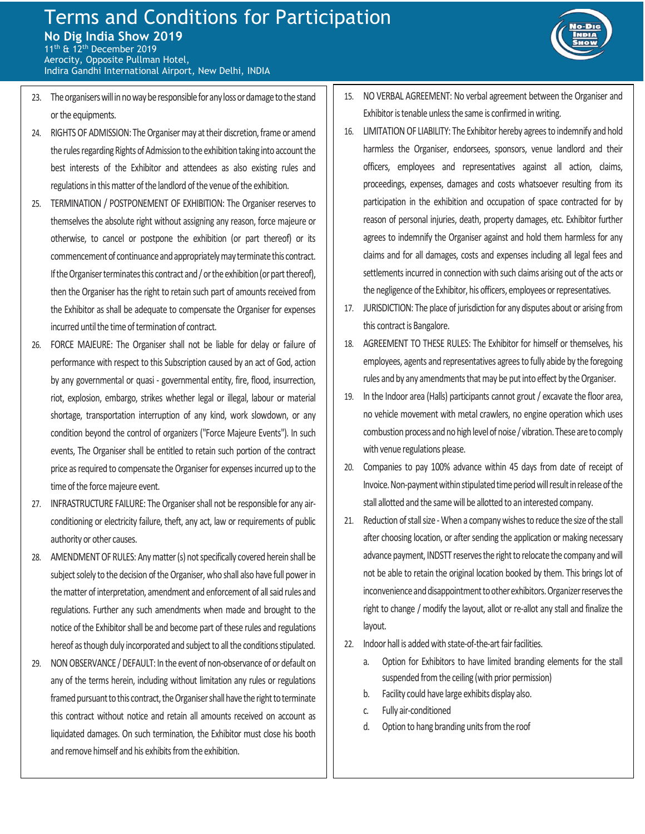### Terms and Conditions for Participation

**No Dig India Show 2019**

11<sup>th</sup> & 12<sup>th</sup> December 2019 Aerocity, Opposite Pullman Hotel, Indira Gandhi International Airport, New Delhi, INDIA

- 23. The organisers will in no way be responsible for any loss or damage to the stand or the equipments.
- 24. RIGHTS OF ADMISSION: The Organiser may at their discretion, frame or amend the rules regarding Rights of Admission to the exhibition taking into account the best interests of the Exhibitor and attendees as also existing rules and regulations in this matter of the landlord of the venue of the exhibition.
- 25. TERMINATION / POSTPONEMENT OF EXHIBITION: The Organiser reserves to themselves the absolute right without assigning any reason, force majeure or otherwise, to cancel or postpone the exhibition (or part thereof) or its commencement of continuance and appropriately may terminate this contract. If the Organiser terminates this contract and / or the exhibition (or part thereof), then the Organiser has the right to retain such part of amounts received from the Exhibitor as shall be adequate to compensate the Organiser for expenses incurred until the time of termination of contract.
- 26. FORCE MAJEURE: The Organiser shall not be liable for delay or failure of performance with respect to this Subscription caused by an act of God, action by any governmental or quasi - governmental entity, fire, flood, insurrection, riot, explosion, embargo, strikes whether legal or illegal, labour or material shortage, transportation interruption of any kind, work slowdown, or any condition beyond the control of organizers ("Force Majeure Events"). In such events, The Organiser shall be entitled to retain such portion of the contract price as required to compensate the Organiser for expenses incurred up to the time of the force majeure event.
- 27. INFRASTRUCTURE FAILURE: The Organiser shall not be responsible for any airconditioning or electricity failure, theft, any act, law or requirements of public authority or other causes.
- 28. AMENDMENTOF RULES: Any matter (s) not specifically covered herein shall be subject solely to the decision of the Organiser, who shall also have full power in the matter of interpretation, amendment and enforcement of all said rules and regulations. Further any such amendments when made and brought to the notice of the Exhibitor shall be and become part of these rules and regulations hereof as though duly incorporated and subject to all the conditions stipulated.
- 29. NON OBSERVANCE / DEFAULT: In the event of non-observance of or default on any of the terms herein, including without limitation any rules or regulations framed pursuant to this contract, the Organiser shall have the right to terminate this contract without notice and retain all amounts received on account as liquidated damages. On such termination, the Exhibitor must close his booth and remove himself and his exhibits from the exhibition.
- 15. NO VERBAL AGREEMENT: No verbal agreement between the Organiser and Exhibitor is tenable unless the same is confirmed in writing.
- 16. LIMITATION OF LIABILITY: The Exhibitor hereby agrees to indemnify and hold harmless the Organiser, endorsees, sponsors, venue landlord and their officers, employees and representatives against all action, claims, proceedings, expenses, damages and costs whatsoever resulting from its participation in the exhibition and occupation of space contracted for by reason of personal injuries, death, property damages, etc. Exhibitor further agrees to indemnify the Organiser against and hold them harmless for any claims and for all damages, costs and expenses including all legal fees and settlements incurred in connection with such claims arising out of the acts or the negligence of the Exhibitor, his officers, employees or representatives.
- 17. JURISDICTION: The place of jurisdiction for any disputes about or arising from this contract is Bangalore.
- 18. AGREEMENT TO THESE RULES: The Exhibitor for himself or themselves, his employees, agents and representatives agrees to fully abide by the foregoing rules and by any amendments that may be put into effect by the Organiser.
- 19. In the Indoor area (Halls) participants cannot grout / excavate the floor area, no vehicle movement with metal crawlers, no engine operation which uses combustion process and no high level of noise / vibration. These are to comply with venue regulations please.
- 20. Companies to pay 100% advance within 45 days from date of receipt of Invoice. Non-payment within stipulated time period will result in release of the stall allotted and the same will be allotted to an interested company.
- 21. Reduction of stall size When a company wishes to reduce the size of the stall after choosing location, or after sending the application or making necessary advance payment, INDSTT reserves the right to relocate the company and will not be able to retain the original location booked by them. This brings lot of inconvenience and disappointment to other exhibitors. Organizer reserves the right to change / modify the layout, allot or re-allot any stall and finalize the layout.
- 22. Indoor hall is added with state-of-the-art fair facilities.
	- a. Option for Exhibitors to have limited branding elements for the stall suspended from the ceiling (with prior permission)
	- b. Facility could have large exhibits display also.
	- c. Fully air-conditioned
	- d. Option to hang branding units from the roof